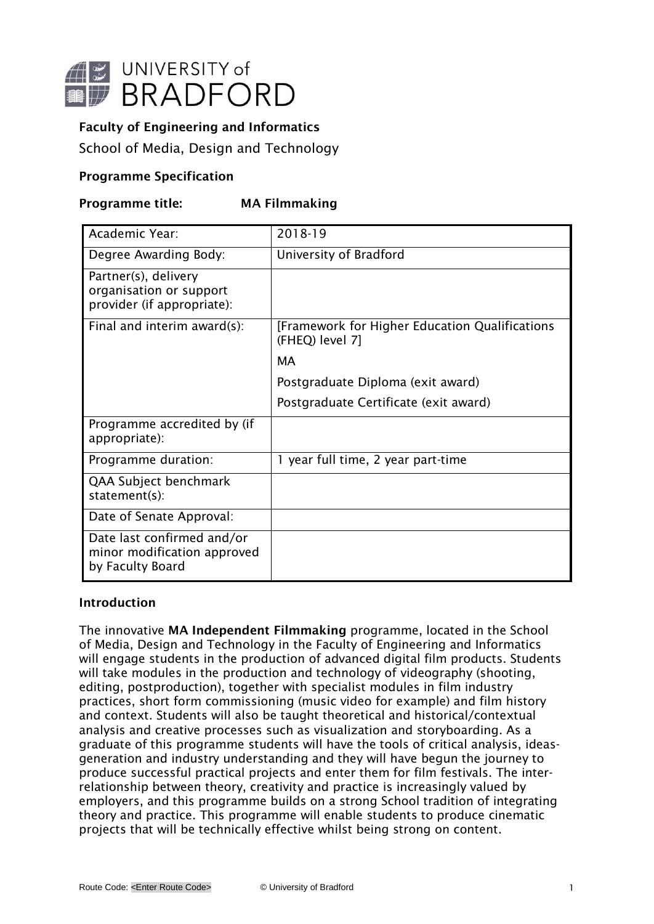

# Faculty of Engineering and Informatics

School of Media, Design and Technology

## Programme Specification

## Programme title: MA Filmmaking

| Academic Year:                                                                | 2018-19                                                           |
|-------------------------------------------------------------------------------|-------------------------------------------------------------------|
| Degree Awarding Body:                                                         | University of Bradford                                            |
| Partner(s), delivery<br>organisation or support<br>provider (if appropriate): |                                                                   |
| Final and interim award(s):                                                   | [Framework for Higher Education Qualifications<br>(FHEQ) level 7] |
|                                                                               | MА                                                                |
|                                                                               | Postgraduate Diploma (exit award)                                 |
|                                                                               | Postgraduate Certificate (exit award)                             |
| Programme accredited by (if<br>appropriate):                                  |                                                                   |
| Programme duration:                                                           | 1 year full time, 2 year part-time                                |
| QAA Subject benchmark<br>statement(s):                                        |                                                                   |
| Date of Senate Approval:                                                      |                                                                   |
| Date last confirmed and/or<br>minor modification approved<br>by Faculty Board |                                                                   |

### Introduction

The innovative MA Independent Filmmaking programme, located in the School of Media, Design and Technology in the Faculty of Engineering and Informatics will engage students in the production of advanced digital film products. Students will take modules in the production and technology of videography (shooting, editing, postproduction), together with specialist modules in film industry practices, short form commissioning (music video for example) and film history and context. Students will also be taught theoretical and historical/contextual analysis and creative processes such as visualization and storyboarding. As a graduate of this programme students will have the tools of critical analysis, ideasgeneration and industry understanding and they will have begun the journey to produce successful practical projects and enter them for film festivals. The interrelationship between theory, creativity and practice is increasingly valued by employers, and this programme builds on a strong School tradition of integrating theory and practice. This programme will enable students to produce cinematic projects that will be technically effective whilst being strong on content.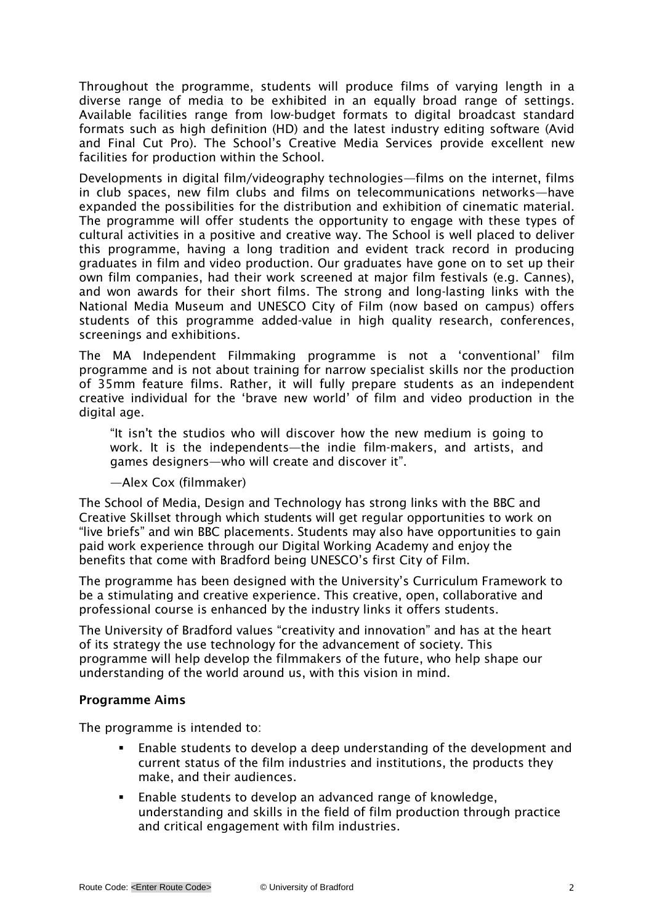Throughout the programme, students will produce films of varying length in a diverse range of media to be exhibited in an equally broad range of settings. Available facilities range from low-budget formats to digital broadcast standard formats such as high definition (HD) and the latest industry editing software (Avid and Final Cut Pro). The School's Creative Media Services provide excellent new facilities for production within the School.

Developments in digital film/videography technologies—films on the internet, films in club spaces, new film clubs and films on telecommunications networks—have expanded the possibilities for the distribution and exhibition of cinematic material. The programme will offer students the opportunity to engage with these types of cultural activities in a positive and creative way. The School is well placed to deliver this programme, having a long tradition and evident track record in producing graduates in film and video production. Our graduates have gone on to set up their own film companies, had their work screened at major film festivals (e.g. Cannes), and won awards for their short films. The strong and long-lasting links with the National Media Museum and UNESCO City of Film (now based on campus) offers students of this programme added-value in high quality research, conferences, screenings and exhibitions.

The MA Independent Filmmaking programme is not a 'conventional' film programme and is not about training for narrow specialist skills nor the production of 35mm feature films. Rather, it will fully prepare students as an independent creative individual for the 'brave new world' of film and video production in the digital age.

"It isn't the studios who will discover how the new medium is going to work. It is the independents—the indie film-makers, and artists, and games designers—who will create and discover it".

### —Alex Cox (filmmaker)

The School of Media, Design and Technology has strong links with the BBC and Creative Skillset through which students will get regular opportunities to work on "live briefs" and win BBC placements. Students may also have opportunities to gain paid work experience through our Digital Working Academy and enjoy the benefits that come with Bradford being UNESCO's first City of Film.

The programme has been designed with the University's Curriculum Framework to be a stimulating and creative experience. This creative, open, collaborative and professional course is enhanced by the industry links it offers students.

The University of Bradford values "creativity and innovation" and has at the heart of its strategy the use technology for the advancement of society. This programme will help develop the filmmakers of the future, who help shape our understanding of the world around us, with this vision in mind.

### Programme Aims

The programme is intended to:

- Enable students to develop a deep understanding of the development and current status of the film industries and institutions, the products they make, and their audiences.
- Enable students to develop an advanced range of knowledge, understanding and skills in the field of film production through practice and critical engagement with film industries.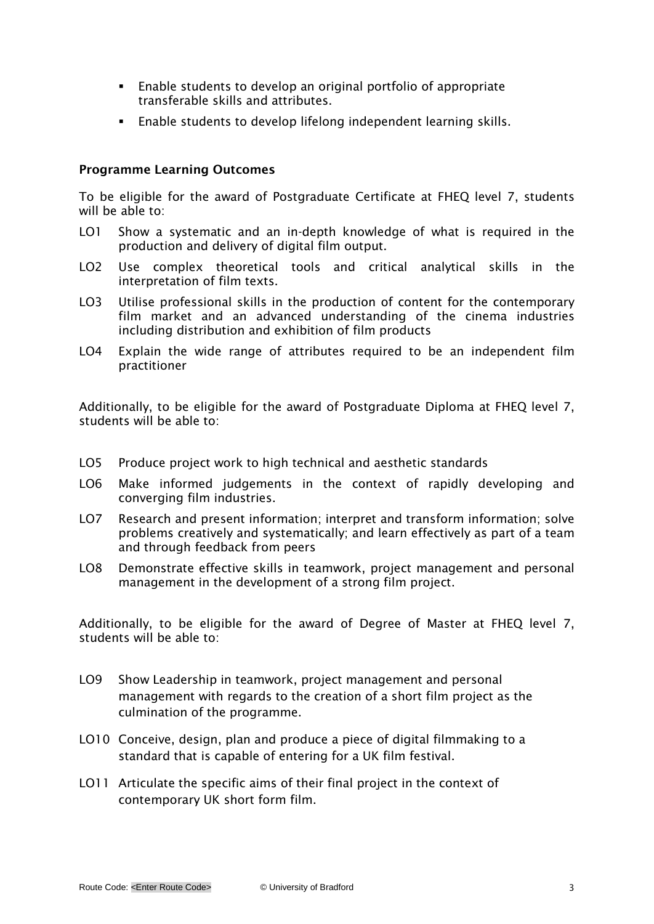- Enable students to develop an original portfolio of appropriate transferable skills and attributes.
- Enable students to develop lifelong independent learning skills.

### Programme Learning Outcomes

To be eligible for the award of Postgraduate Certificate at FHEQ level 7, students will be able to:

- LO1 Show a systematic and an in-depth knowledge of what is required in the production and delivery of digital film output.
- LO2 Use complex theoretical tools and critical analytical skills in the interpretation of film texts.
- LO3 Utilise professional skills in the production of content for the contemporary film market and an advanced understanding of the cinema industries including distribution and exhibition of film products
- LO4 Explain the wide range of attributes required to be an independent film practitioner

Additionally, to be eligible for the award of Postgraduate Diploma at FHEQ level 7, students will be able to:

- LO5 Produce project work to high technical and aesthetic standards
- LO6 Make informed judgements in the context of rapidly developing and converging film industries.
- LO7 Research and present information; interpret and transform information; solve problems creatively and systematically; and learn effectively as part of a team and through feedback from peers
- LO8 Demonstrate effective skills in teamwork, project management and personal management in the development of a strong film project.

Additionally, to be eligible for the award of Degree of Master at FHEQ level 7, students will be able to:

- LO9 Show Leadership in teamwork, project management and personal management with regards to the creation of a short film project as the culmination of the programme.
- LO10 Conceive, design, plan and produce a piece of digital filmmaking to a standard that is capable of entering for a UK film festival.
- LO11 Articulate the specific aims of their final project in the context of contemporary UK short form film.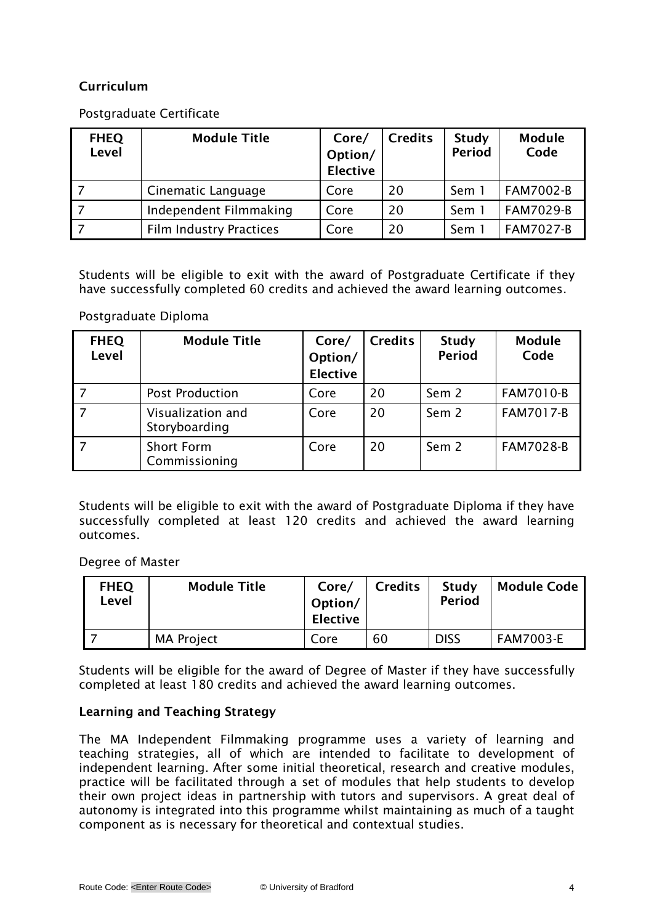# Curriculum

## Postgraduate Certificate

| <b>FHEQ</b><br><b>Level</b> | <b>Module Title</b>            | Core/<br>Option/<br><b>Elective</b> | <b>Credits</b> | <b>Study</b><br><b>Period</b> | <b>Module</b><br>Code |
|-----------------------------|--------------------------------|-------------------------------------|----------------|-------------------------------|-----------------------|
|                             | Cinematic Language             | Core                                | 20             | Sem 1                         | <b>FAM7002-B</b>      |
|                             | Independent Filmmaking         | Core                                | 20             | Sem 1                         | <b>FAM7029-B</b>      |
|                             | <b>Film Industry Practices</b> | Core                                | 20             | Sem 1                         | <b>FAM7027-B</b>      |

Students will be eligible to exit with the award of Postgraduate Certificate if they have successfully completed 60 credits and achieved the award learning outcomes.

### Postgraduate Diploma

| <b>FHEQ</b><br>Level | <b>Module Title</b>                | Core/<br>Option/<br><b>Elective</b> | <b>Credits</b> | <b>Study</b><br><b>Period</b> | <b>Module</b><br>Code |
|----------------------|------------------------------------|-------------------------------------|----------------|-------------------------------|-----------------------|
|                      | <b>Post Production</b>             | Core                                | 20             | Sem 2                         | <b>FAM7010-B</b>      |
|                      | Visualization and<br>Storyboarding | Core                                | 20             | Sem <sub>2</sub>              | <b>FAM7017-B</b>      |
|                      | <b>Short Form</b><br>Commissioning | Core                                | 20             | Sem <sub>2</sub>              | <b>FAM7028-B</b>      |

Students will be eligible to exit with the award of Postgraduate Diploma if they have successfully completed at least 120 credits and achieved the award learning outcomes.

### Degree of Master

| <b>FHEQ</b><br>Level | <b>Module Title</b> | Core/<br>Option/<br>Elective | <b>Credits</b> | Study<br><b>Period</b> | <b>Module Code</b> |
|----------------------|---------------------|------------------------------|----------------|------------------------|--------------------|
|                      | <b>MA Project</b>   | Core                         | 60             | <b>DISS</b>            | <b>FAM7003-E</b>   |

Students will be eligible for the award of Degree of Master if they have successfully completed at least 180 credits and achieved the award learning outcomes.

## Learning and Teaching Strategy

The MA Independent Filmmaking programme uses a variety of learning and teaching strategies, all of which are intended to facilitate to development of independent learning. After some initial theoretical, research and creative modules, practice will be facilitated through a set of modules that help students to develop their own project ideas in partnership with tutors and supervisors. A great deal of autonomy is integrated into this programme whilst maintaining as much of a taught component as is necessary for theoretical and contextual studies.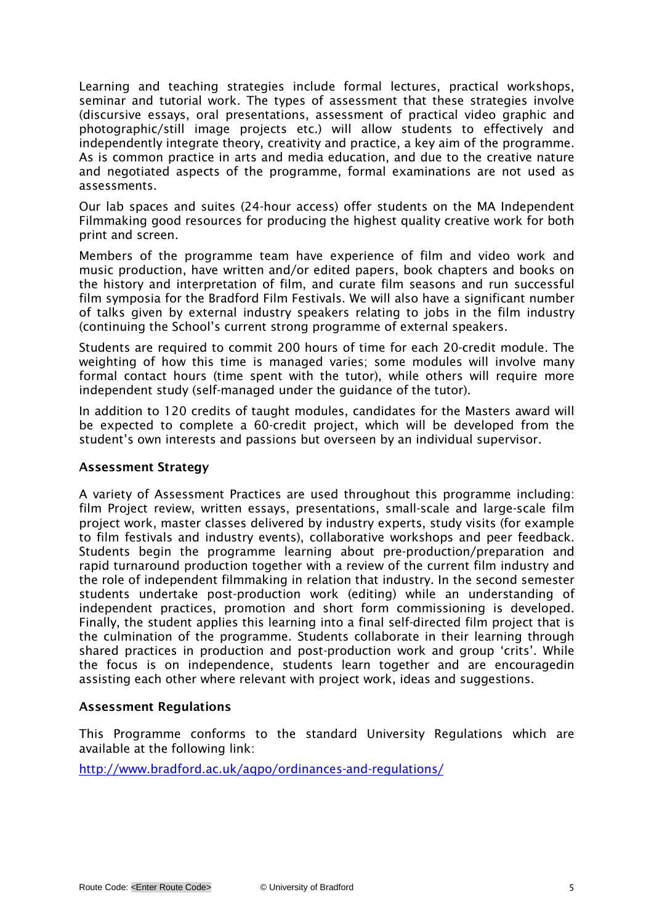Learning and teaching strategies include formal lectures, practical workshops, seminar and tutorial work. The types of assessment that these strategies involve (discursive essays, oral presentations, assessment of practical video graphic and photographic/still image projects etc.) will allow students to effectively and independently integrate theory, creativity and practice, a key aim of the programme. As is common practice in arts and media education, and due to the creative nature and negotiated aspects of the programme, formal examinations are not used as assessments.

Our lab spaces and suites (24-hour access) offer students on the MA Independent Filmmaking good resources for producing the highest quality creative work for both print and screen.

Members of the programme team have experience of film and video work and music production, have written and/or edited papers, book chapters and books on the history and interpretation of film, and curate film seasons and run successful film symposia for the Bradford Film Festivals. We will also have a significant number of talks given by external industry speakers relating to jobs in the film industry (continuing the School's current strong programme of external speakers.

Students are required to commit 200 hours of time for each 20-credit module. The weighting of how this time is managed varies; some modules will involve many formal contact hours (time spent with the tutor), while others will require more independent study (self-managed under the guidance of the tutor).

In addition to 120 credits of taught modules, candidates for the Masters award will be expected to complete a 60-credit project, which will be developed from the student's own interests and passions but overseen by an individual supervisor.

### Assessment Strategy

A variety of Assessment Practices are used throughout this programme including: film Project review, written essays, presentations, small-scale and large-scale film project work, master classes delivered by industry experts, study visits (for example to film festivals and industry events), collaborative workshops and peer feedback. Students begin the programme learning about pre-production/preparation and rapid turnaround production together with a review of the current film industry and the role of independent filmmaking in relation that industry. In the second semester students undertake post-production work (editing) while an understanding of independent practices, promotion and short form commissioning is developed. Finally, the student applies this learning into a final self-directed film project that is the culmination of the programme. Students collaborate in their learning through shared practices in production and post-production work and group 'crits'. While the focus is on independence, students learn together and are encouragedin assisting each other where relevant with project work, ideas and suggestions.

### Assessment Regulations

This Programme conforms to the standard University Regulations which are available at the following link:

<http://www.bradford.ac.uk/aqpo/ordinances-and-regulations/>